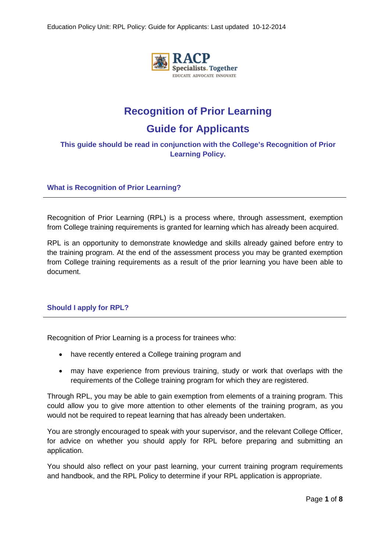

# **Recognition of Prior Learning**

# **Guide for Applicants**

## **This guide should be read in conjunction with the College's Recognition of Prior Learning Policy.**

**What is Recognition of Prior Learning?**

Recognition of Prior Learning (RPL) is a process where, through assessment, exemption from College training requirements is granted for learning which has already been acquired.

RPL is an opportunity to demonstrate knowledge and skills already gained before entry to the training program. At the end of the assessment process you may be granted exemption from College training requirements as a result of the prior learning you have been able to document.

## **Should I apply for RPL?**

Recognition of Prior Learning is a process for trainees who:

- have recently entered a College training program and
- may have experience from previous training, study or work that overlaps with the requirements of the College training program for which they are registered.

Through RPL, you may be able to gain exemption from elements of a training program. This could allow you to give more attention to other elements of the training program, as you would not be required to repeat learning that has already been undertaken.

You are strongly encouraged to speak with your supervisor, and the relevant College Officer, for advice on whether you should apply for RPL before preparing and submitting an application.

You should also reflect on your past learning, your current training program requirements and handbook, and the RPL Policy to determine if your RPL application is appropriate.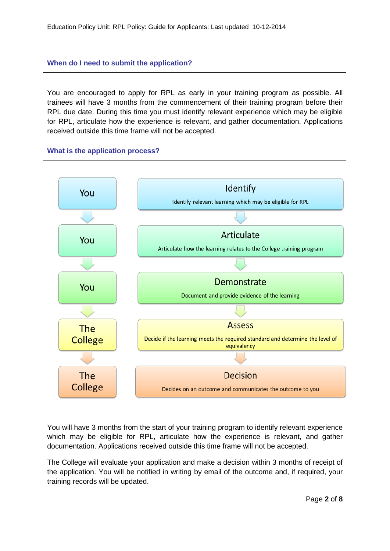## **When do I need to submit the application?**

You are encouraged to apply for RPL as early in your training program as possible. All trainees will have 3 months from the commencement of their training program before their RPL due date. During this time you must identify relevant experience which may be eligible for RPL, articulate how the experience is relevant, and gather documentation. Applications received outside this time frame will not be accepted.





You will have 3 months from the start of your training program to identify relevant experience which may be eligible for RPL, articulate how the experience is relevant, and gather documentation. Applications received outside this time frame will not be accepted.

The College will evaluate your application and make a decision within 3 months of receipt of the application. You will be notified in writing by email of the outcome and, if required, your training records will be updated.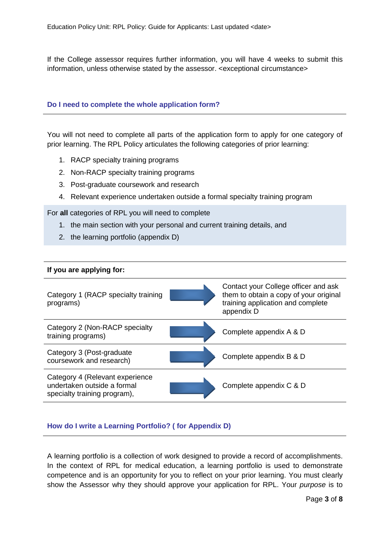If the College assessor requires further information, you will have 4 weeks to submit this information, unless otherwise stated by the assessor. <exceptional circumstance>

#### **Do I need to complete the whole application form?**

You will not need to complete all parts of the application form to apply for one category of prior learning. The RPL Policy articulates the following categories of prior learning:

- 1. RACP specialty training programs
- 2. Non-RACP specialty training programs
- 3. Post-graduate coursework and research
- 4. Relevant experience undertaken outside a formal specialty training program

For **all** categories of RPL you will need to complete

- 1. the main section with your personal and current training details, and
- 2. the learning portfolio (appendix D)

#### **If you are applying for:**

| Category 1 (RACP specialty training<br>programs)                                               | Contact your College officer and ask<br>them to obtain a copy of your original<br>training application and complete<br>appendix D |
|------------------------------------------------------------------------------------------------|-----------------------------------------------------------------------------------------------------------------------------------|
| Category 2 (Non-RACP specialty<br>training programs)                                           | Complete appendix A & D                                                                                                           |
| Category 3 (Post-graduate<br>coursework and research)                                          | Complete appendix B & D                                                                                                           |
| Category 4 (Relevant experience<br>undertaken outside a formal<br>specialty training program), | Complete appendix C & D                                                                                                           |

## **How do I write a Learning Portfolio? ( for Appendix D)**

A learning portfolio is a collection of work designed to provide a record of accomplishments. In the context of RPL for medical education, a learning portfolio is used to demonstrate competence and is an opportunity for you to reflect on your prior learning. You must clearly show the Assessor why they should approve your application for RPL. Your *purpose* is to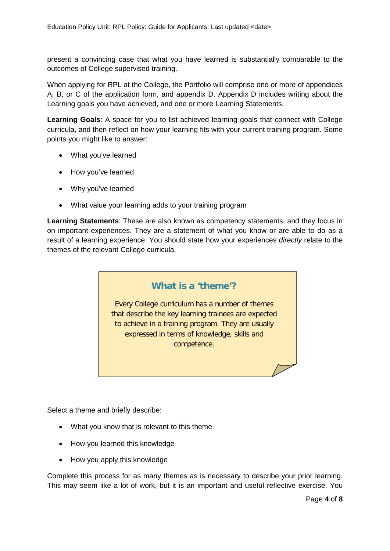present a convincing case that what you have learned is substantially comparable to the outcomes of College supervised training.

When applying for RPL at the College, the Portfolio will comprise one or more of appendices A, B, or C of the application form, and appendix D. Appendix D includes writing about the Learning goals you have achieved, and one or more Learning Statements.

**Learning Goals**: A space for you to list achieved learning goals that connect with College curricula, and then reflect on how your learning fits with your current training program. Some points you might like to answer:

- What you've learned
- How you've learned
- Why you've learned
- What value your learning adds to your training program

**Learning Statements**: These are also known as competency statements, and they focus in on important experiences. They are a statement of what you know or are able to do as a result of a learning experience. You should state how your experiences *directly* relate to the themes of the relevant College curricula.



Select a theme and briefly describe:

- What you know that is relevant to this theme
- How you learned this knowledge
- How you apply this knowledge

Complete this process for as many themes as is necessary to describe your prior learning. This may seem like a lot of work, but it is an important and useful reflective exercise. You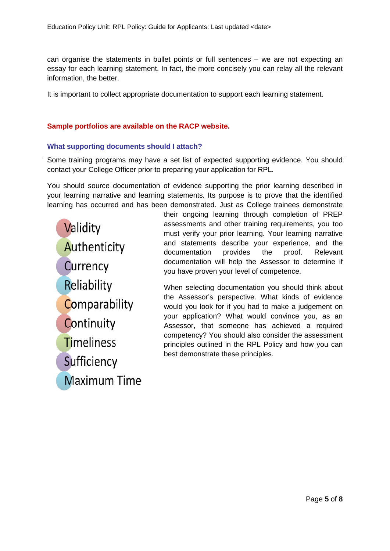can organise the statements in bullet points or full sentences – we are not expecting an essay for each learning statement. In fact, the more concisely you can relay all the relevant information, the better.

It is important to collect appropriate documentation to support each learning statement.

## **Sample portfolios are available on the RACP website.**

## **What supporting documents should I attach?**

Some training programs may have a set list of expected supporting evidence. You should contact your College Officer prior to preparing your application for RPL.

You should source documentation of evidence supporting the prior learning described in your learning narrative and learning statements. Its purpose is to prove that the identified learning has occurred and has been demonstrated. Just as College trainees demonstrate

Validity Authenticity Currency Reliability Comparability Continuity **Timeliness** Sufficiency **Maximum Time**  their ongoing learning through completion of PREP assessments and other training requirements, you too must verify your prior learning. Your learning narrative and statements describe your experience, and the documentation provides the proof. Relevant documentation will help the Assessor to determine if you have proven your level of competence.

When selecting documentation you should think about the Assessor's perspective. What kinds of evidence would you look for if you had to make a judgement on your application? What would convince you, as an Assessor, that someone has achieved a required competency? You should also consider the assessment principles outlined in the RPL Policy and how you can best demonstrate these principles.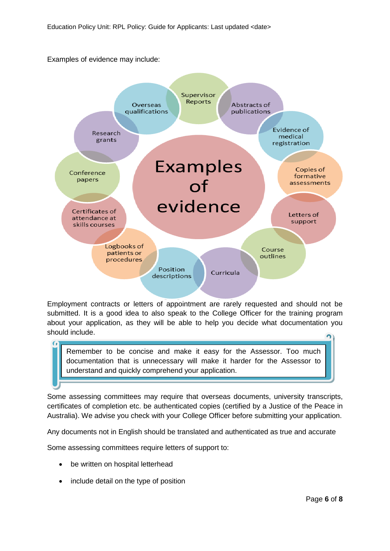

Employment contracts or letters of appointment are rarely requested and should not be submitted. It is a good idea to also speak to the College Officer for the training program about your application, as they will be able to help you decide what documentation you should include.

Remember to be concise and make it easy for the Assessor. Too much documentation that is unnecessary will make it harder for the Assessor to understand and quickly comprehend your application.

Some assessing committees may require that overseas documents, university transcripts, certificates of completion etc. be authenticated copies (certified by a Justice of the Peace in Australia). We advise you check with your College Officer before submitting your application.

Any documents not in English should be translated and authenticated as true and accurate

Some assessing committees require letters of support to:

- be written on hospital letterhead
- include detail on the type of position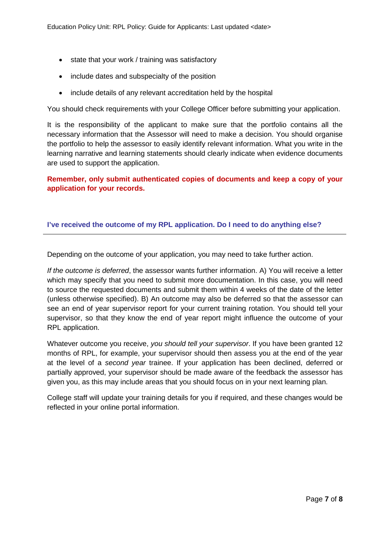- state that your work / training was satisfactory
- include dates and subspecialty of the position
- include details of any relevant accreditation held by the hospital

You should check requirements with your College Officer before submitting your application.

It is the responsibility of the applicant to make sure that the portfolio contains all the necessary information that the Assessor will need to make a decision. You should organise the portfolio to help the assessor to easily identify relevant information. What you write in the learning narrative and learning statements should clearly indicate when evidence documents are used to support the application.

**Remember, only submit authenticated copies of documents and keep a copy of your application for your records.**

## **I've received the outcome of my RPL application. Do I need to do anything else?**

Depending on the outcome of your application, you may need to take further action.

*If the outcome is deferred*, the assessor wants further information. A) You will receive a letter which may specify that you need to submit more documentation. In this case, you will need to source the requested documents and submit them within 4 weeks of the date of the letter (unless otherwise specified). B) An outcome may also be deferred so that the assessor can see an end of year supervisor report for your current training rotation. You should tell your supervisor, so that they know the end of year report might influence the outcome of your RPL application.

Whatever outcome you receive, *you should tell your supervisor*. If you have been granted 12 months of RPL, for example, your supervisor should then assess you at the end of the year at the level of a *second year* trainee. If your application has been declined, deferred or partially approved, your supervisor should be made aware of the feedback the assessor has given you, as this may include areas that you should focus on in your next learning plan.

College staff will update your training details for you if required, and these changes would be reflected in your online portal information.